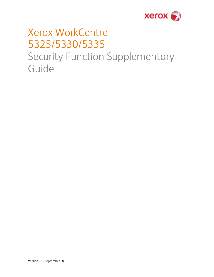

# Xerox WorkCentre 5325/5330/5335 Security Function Supplementary Guide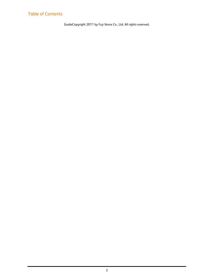### Table of Contents

GuideCopyright 2011 by Fuji Xerox Co., Ltd. All rights reserved.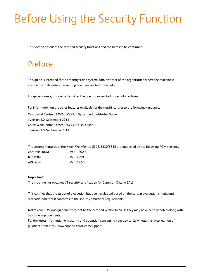# Before Using the Security Function

This section describes the certified security functions and the items to be confirmed.

## Preface

This guide is intended for the manager and system administrator of the organization where the machine is installed, and describes the setup procedures related to security.

For general users, this guide describes the operations related to security features.

For information on the other features available for the machine, refer to the following guidance.

Xerox WorkCentre 5325/5330/5335 System Administrator Guide : Version 1.0: September 2011 Xerox WorkCentre 5325/5330/5335 User Guide : Version 1.0: September 2011

| The security features of the Xerox WorkCentre 5325/5330/5335 are supported by the following ROM versions. |              |  |
|-----------------------------------------------------------------------------------------------------------|--------------|--|
| Controller ROM                                                                                            | Ver. 1.202.3 |  |
| <b>IOT ROM</b>                                                                                            | Ver. 30.19.0 |  |
| ADF ROM                                                                                                   | Ver. 7.8.50  |  |

#### **Important:**

The machine has obtained IT security certification for Common Criteria EAL3.

This certifies that the target of evaluation has been evaluated based on the certain evaluation criteria and methods, and that it conforms to the security assurance requirements.

**Note:** Your ROM and guidance may not be the certified version because they may have been updated along with machine improvements.

For the latest information on security and operation concerning your device, download the latest edition of guidance from http://www.support.xerox.com/support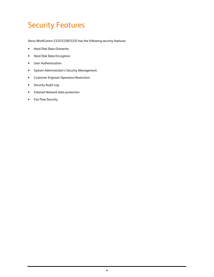## Security Features

Xerox WorkCentre 5325/5330/5335 has the following security features:

- Hard Disk Data Overwrite
- Hard Disk Data Encryption
- User Authentication
- System Administrator's Security Management
- Customer Engineer Operation Restriction
- Security Audit Log
- Internal Network data protection
- Fax Flow Security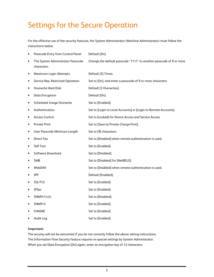## Settings for the Secure Operation

For the effective use of the security features, the System Administrator (Machine Administrator) must follow the instructions below:

| ٠         | Passcode Entry from Control Panel                | Default [On].                                                       |
|-----------|--------------------------------------------------|---------------------------------------------------------------------|
| ٠         | The System Administrator Passcode<br>characters. | Change the default passcode "1111" to another passcode of 9 or more |
| $\bullet$ | Maximum Login Attempts                           | Default [5] Times.                                                  |
| ٠         | Service Rep. Restricted Operation                | Set to [On], and enter a passcode of 9 or more characters.          |
| ٠         | <b>Overwrite Hard Disk</b>                       | Default [3 Overwrites].                                             |
| ٠         | Data Encryption                                  | Default [On].                                                       |
| ٠         | <b>Scheduled Image Overwrite</b>                 | Set to [Enabled].                                                   |
| ٠         | Authentication                                   | Set to [Login to Local Accounts] or [Login to Remote Accounts].     |
| ٠         | <b>Access Control</b>                            | Set to [Locked] for Device Access and Service Access.               |
| ٠         | <b>Private Print</b>                             | Set to [Save as Private Charge Print].                              |
| ٠         | User Passcode Minimum Length                     | Set to [9] characters.                                              |
| ٠         | <b>Direct Fax</b>                                | Set to [Disabled] when remote authentication is used.               |
| ٠         | <b>Self Test</b>                                 | Set to [Enabled].                                                   |
| ٠         | Software Download                                | Set to [Disabled].                                                  |
| $\bullet$ | <b>SMB</b>                                       | Set to [Disabled] for [NetBEUI].                                    |
|           | WebDAV                                           | Set to [Disabled] when remote authentication is used.               |
|           | <b>IPP</b>                                       | Default [Enabled].                                                  |
|           | SSL/TLS                                          | Set to [Enabled].                                                   |
| ٠         | <b>IPSec</b>                                     | Set to [Enabled].                                                   |
| ٠         | SNMPv1/v2c                                       | Set to [Disabled].                                                  |
| ٠         | SNMPv3                                           | Set to [Enabled].                                                   |
|           | S/MIME                                           | Set to [Enabled].                                                   |
|           | Audit Log                                        | Set to [Enabled].                                                   |

#### **Important:**

The security will not be warranted if you do not correctly follow the above setting instructions. The Information Flow Security feature requires no special settings by System Administrator. When you set Data Encryption [On] again, enter an encryption key of 12 characters.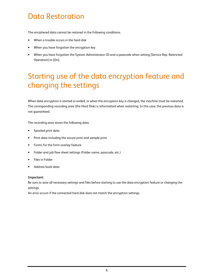## Data Restoration

The enciphered data cannot be restored in the following conditions.

- When a trouble occurs in the hard disk
- When you have forgotten the encryption key
- When you have forgotten the System Administrator ID and a passcode when setting [Service Rep. Restricted Operation] to [On].

## Starting use of the data encryption feature and changing the settings

When data encryption is started or ended, or when the encryption key is changed, the machine must be restarted. The corresponding recording area (the Hard Disk) is reformatted when restarting. In this case, the previous data is not guaranteed.

The recording area stores the following data.

- Spooled print data
- Print data including the secure print and sample print
- Forms for the form overlay feature
- Folder and job flow sheet settings (Folder name, passcode, etc.)
- Files in Folder
- Address book data

#### **Important:**

Be sure to save all necessary settings and files before starting to use the data encryption feature or changing the settings.

An error occurs if the connected hard disk does not match the encryption settings.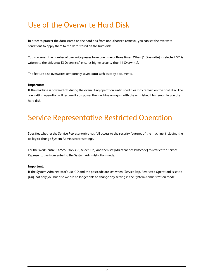## Use of the Overwrite Hard Disk

In order to protect the data stored on the hard disk from unauthorized retrieval, you can set the overwrite conditions to apply them to the data stored on the hard disk.

You can select the number of overwrite passes from one time or three times. When [1 Overwrite] is selected, "0" is written to the disk area. [3 Overwrites] ensures higher security than [1 Overwrite].

The feature also overwrites temporarily saved data such as copy documents.

### **Important:**

If the machine is powered off during the overwriting operation, unfinished files may remain on the hard disk. The overwriting operation will resume if you power the machine on again with the unfinished files remaining on the hard disk.

## Service Representative Restricted Operation

Specifies whether the Service Representative has full access to the security features of the machine, including the ability to change System Administrator settings.

For the WorkCentre 5325/5330/5335, select [On] and then set [Maintenance Passcode] to restrict the Service Representative from entering the System Administration mode.

### **Important:**

If the System Administrator's user ID and the passcode are lost when [Service Rep. Restricted Operation] is set to [On], not only you but also we are no longer able to change any setting in the System Administration mode.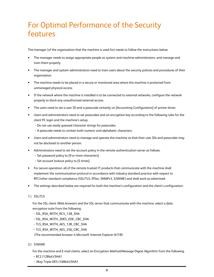## For Optimal Performance of the Security features

The manager (of the organization that the machine is used for) needs to follow the instructions below:

- The manager needs to assign appropriate people as system and machine administrators, and manage and train them properly.
- The manager and system administrators need to train users about the security policies and procedures of their organization.
- The machine needs to be placed in a secure or monitored area where the machine is protected from unmanaged physical access.
- If the network where the machine is installed is to be connected to external networks, configure the network properly to block any unauthorized external access.
- The users need to set a user ID and a passcode certainly on [Accounting Configuration] of printer driver.
- Users and administrators need to set passcodes and an encryption key according to the following rules for the client PC login and the machine's setup.
	- ・Do not use easily guessed character strings for passcodes.
	- ・A passcode needs to contain both numeric and alphabetic characters.
- Users and administrators need to manage and operate the machine so that their user IDs and passcodes may not be disclosed to another person.
- Administrators need to set the account policy in the remote authentication server as follows.
	- ・Set password policy to [9 or more characters]
	- ・Set account lockout policy to [5 times]
- For secure operation, all of the remote trusted IT products that communicate with the machine shall implement the communication protocol in accordance with industry standard practice with respect to RFC/other standard compliance (SSL/TLS, IPSec, SNMPv3, S/MIME) and shall work as advertised.
- The settings described below are required for both the machine's configuration and the client's configuration.

#### 1.) SSL/TLS

For the SSL client (Web browser) and the SSL server that communicate with the machine, select a data encryption suite from the following.

- ・SSL\_RSA\_WITH\_RC4\_128\_SHA
- ・SSL\_RSA\_WITH\_3DES\_EDE\_CBC\_SHA
- ・TLS\_RSA\_WITH\_AES\_128\_CBC\_SHA
- ・TLS\_RSA\_WITH\_AES\_256\_CBC\_SHA

(The recommended browser is Microsoft Internet Explorer 6/7/8)

### 2.) S/MIME

For the machine and E-mail clients, select an Encryption Method/Message Digest Algorithm from the following.

- ・RC2 (128bit)/SHA1
- ・3Key Triple-DES (168bit)/SHA1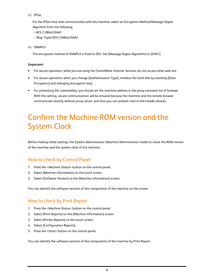3.) IPSec

For the IPSec host that communicates with the machine, select an Encryption Method/Message Digest Algorithm from the following.

- ・AES (128bit)/SHA1
- ・3Key Triple-DES (168bit)/SHA1
- 4.) SNMPv3

The encryption method of SNMPv3 is fixed to DES. Set [Message Digest Algorithm] to [SHA1].

#### **Important:**

- For secure operation, while you are using the CentreWare Internet Services, do not access other web site.
- For secure operation, when you change [Authentication Type], initialize the hard disk by resetting [Data Encryption] and changing [encryption key].
- For preventing SSL vulnerability, you should set the machine address in the proxy exclusion list of browser. With this setting, secure communication will be ensured because the machine and the remote browser communicate directly without proxy server, and thus you can prevent man-in-the-middle attacks.

## Confirm the Machine ROM version and the System Clock

Before making initial settings, the System Administrator (Machine Administrator) needs to check the ROM version of the machine and the system clock of the machine.

### How to check by Control Panel

- 1. Press the <Machine Status> button on the control panel.
- 2. Select [Machine information] on the touch screen.
- 3. Select [Software Version] on the [Machine information] screen.

You can identify the software versions of the components of the machine on the screen.

### How to check by Print Report

- 1. Press the <Machine Status> button on the control panel.
- 2. Select [Print Reports] on the [Machine information] screen.
- 3. Select [Printer Reports] on the touch screen.
- 4. Select [Configuration Reports].
- 5. Press the <Start> button on the control panel.

You can identify the software versions of the components of the machine by Print Report.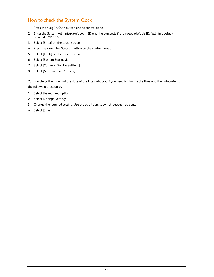### How to check the System Clock

- 1. Press the <Log In/Out> button on the control panel.
- 2. Enter the System Administrator's Login ID and the passcode if prompted (default ID: "admin", default passcode: "1111").
- 3. Select [Enter] on the touch screen.
- 4. Press the <Machine Status> button on the control panel.
- 5. Select [Tools] on the touch screen.
- 6. Select [System Settings].
- 7. Select [Common Service Settings].
- 8. Select [Machine Clock/Timers].

You can check the time and the date of the internal clock. If you need to change the time and the date, refer to the following procedures.

- 1. Select the required option.
- 2. Select [Change Settings].
- 3. Change the required setting. Use the scroll bars to switch between screens.
- 4. Select [Save].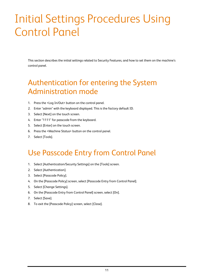# Initial Settings Procedures Using Control Panel

This section describes the initial settings related to Security Features, and how to set them on the machine's control panel.

## Authentication for entering the System Administration mode

- 1. Press the <Log In/Out> button on the control panel.
- 2. Enter "admin" with the keyboard displayed. This is the factory default ID.
- 3. Select [Next] on the touch screen.
- 4. Enter "1111" for passcode from the keyboard.
- 5. Select [Enter] on the touch screen.
- 6. Press the <Machine Status> button on the control panel.
- 7. Select [Tools].

## Use Passcode Entry from Control Panel

- 1. Select [Authentication/Security Settings] on the [Tools] screen.
- 2. Select [Authentication].
- 3. Select [Passcode Policy].
- 4. On the [Passcode Policy] screen, select [Passcode Entry from Control Panel].
- 5. Select [Change Settings].
- 6. On the [Passcode Entry from Control Panel] screen, select [On].
- 7. Select [Save].
- 8. To exit the [Passcode Policy] screen, select [Close].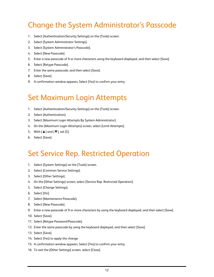## Change the System Administrator's Passcode

- 1. Select [Authentication/Security Settings] on the [Tools] screen.
- 2. Select [System Administrator Settings].
- 3. Select [System Administrator's Passcode].
- 4. Select [New Passcode].
- 5. Enter a new passcode of 9 or more characters using the keyboard displayed, and then select [Save].
- 6. Select [Retype Passcode].
- 7. Enter the same passcode, and then select [Save].
- 8. Select [Save].
- 9. A confirmation window appears. Select [Yes] to confirm your entry.

## Set Maximum Login Attempts

- 1. Select [Authentication/Security Settings] on the [Tools] screen.
- 2. Select [Authentication].
- 3. Select [Maximum Login Attempts By System Administrator].
- 4. On the [Maximum Login Attempts] screen, select [Limit Attempts].
- 5. With [▲] and [▼], set [5].
- 6. Select [Save].

## Set Service Rep. Restricted Operation

- 1. Select [System Settings] on the [Tools] screen.
- 2. Select [Common Service Settings].
- 3. Select [Other Settings].
- 4. On the [Other Settings] screen, select [Service Rep. Restricted Operation].
- 5. Select [Change Settings].
- 6. Select [On].
- 7. Select [Maintenance Passcode].
- 8. Select [New Passcode].
- 9. Enter a new passcode of 9 or more characters by using the keyboard displayed, and then select [Save].
- 10. Select [Save].
- 11. Select [Retype Password/Passcode].
- 12. Enter the same passcode by using the keyboard displayed, and then select [Save].
- 13. Select [Save].
- 14. Select [Yes] to apply the change.
- 15. A confirmation window appears. Select [Yes] to confirm your entry.
- 16. To exit the [Other Settings] screen, select [Close].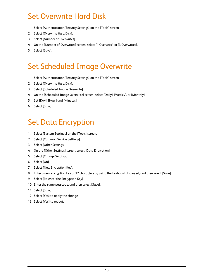## Set Overwrite Hard Disk

- 1. Select [Authentication/Security Settings] on the [Tools] screen.
- 2. Select [Overwrite Hard Disk].
- 3. Select [Number of Overwrites].
- 4. On the [Number of Overwrites] screen, select [1 Overwrite] or [3 Overwrites].
- 5. Select [Save].

## Set Scheduled Image Overwrite

- 1. Select [Authentication/Security Settings] on the [Tools] screen.
- 2. Select [Overwrite Hard Disk].
- 3. Select [Scheduled Image Overwrite].
- 4. On the [Scheduled Image Overwrite] screen, select [Daily], [Weekly], or [Monthly].
- 5. Set [Day], [Hour],and [Minutes],
- 6. Select [Save].

## Set Data Encryption

- 1. Select [System Settings] on the [Tools] screen.
- 2. Select [Common Service Settings].
- 3. Select [Other Settings].
- 4. On the [Other Settings] screen, select [Data Encryption].
- 5. Select [Change Settings].
- 6. Select [On].
- 7. Select [New Encryption Key].
- 8. Enter a new encryption key of 12 characters by using the keyboard displayed, and then select [Save].
- 9. Select [Re-enter the Encryption Key]
- 10. Enter the same passcode, and then select [Save].
- 11. Select [Save].
- 12. Select [Yes] to apply the change.
- 13. Select [Yes] to reboot.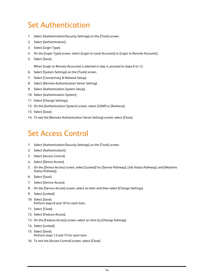## Set Authentication

- 1. Select [Authentication/Security Settings] on the [Tools] screen.
- 2. Select [Authentication].
- 3. Select [Login Type].
- 4. On the [Login Type] screen, select [Login to Local Accounts] or [Login to Remote Accounts].
- 5. Select [Save].

When [Login to Remote Accounts] is selected in step 4, proceed to steps 6 to 12.

- 6. Select [System Settings] on the [Tools] screen.
- 7. Select [Connectivity & Network Setup].
- 8. Select [Remote Authentication Server Setting].
- 9. Select [Authentication System Setup].
- 10. Select [Authentication System].
- 11. Select [Change Settings].
- 12. On the [Authentication System] screen, select [LDAP] or [Kerberos].
- 13. Select [Save].
- 14. To exit the [Remote Authentication Server Setting] screen, select [Close].

## Set Access Control

- 1. Select [Authentication/Security Settings] on the [Tools] screen.
- 2. Select [Authentication].
- 3. Select [Access Control].
- 4. Select [Device Access].
- 5. On the [Device Access] screen, select [Locked] for [Service Pathway], [Job Status Pathway], and [Machine Status Pathway].
- 6. Select [Save].
- 7. Select [Service Access].
- 8. On the [Service Access] screen, select an item and then select [Change Settings].
- 9. Select [Locked].
- 10. Select [Save]. Perform steps 8 and 10 for each item.
- 11. Select [Close].
- 12. Select [Feature Access].
- 13. On the [Feature Access] screen, select an item by [Change Settings].
- 14. Select [Locked].
- 15. Select [Save]. Perform steps 13 and 15 for each item.
- 16. To exit the [Access Control] screen, select [Close].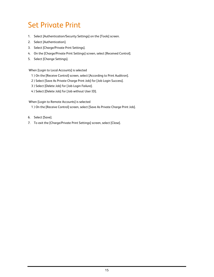## Set Private Print

- 1. Select [Authentication/Security Settings] on the [Tools] screen.
- 2. Select [Authentication].
- 3. Select [Charge/Private Print Settings].
- 4. On the [Charge/Private Print Settings] screen, select [Received Control].
- 5. Select [Change Settings].

When [Login to Local Accounts] is selected

- 1 ) On the [Receive Control] screen, select [According to Print Auditron].
- 2 ) Select [Save As Private Charge Print Job] for [Job Login Success].
- 3 ) Select [Delete Job] for [Job Login Failure].
- 4 ) Select [Delete Job] for [Job without User ID].

When [Login to Remote Accounts] is selected

- 1 ) On the [Receive Control] screen, select [Save As Private Charge Print Job].
- 6. Select [Save].
- 7. To exit the [Charge/Private Print Settings] screen, select [Close].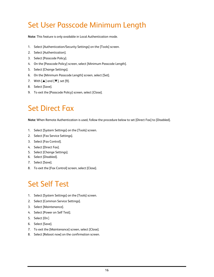## Set User Passcode Minimum Length

**Note:** This feature is only available in Local Authentication mode.

- 1. Select [Authentication/Security Settings] on the [Tools] screen.
- 2. Select [Authentication].
- 3. Select [Passcode Policy].
- 4. On the [Passcode Policy] screen, select [Minimum Passcode Length].
- 5. Select [Change Settings].
- 6. On the [Minimum Passcode Length] screen, select [Set].
- 7. With [▲] and [▼], set [9].
- 8. Select [Save].
- 9. To exit the [Passcode Policy] screen, select [Close].

## Set Direct Fax

**Note:** When Remote Authentication is used, follow the procedure below to set [Direct Fax] to [Disabled].

- 1. Select [System Settings] on the [Tools] screen.
- 2. Select [Fax Service Settings].
- 3. Select [Fax Control].
- 4. Select [Direct Fax].
- 5. Select [Change Settings].
- 6. Select [Disabled].
- 7. Select [Save].
- 8. To exit the [Fax Control] screen, select [Close].

## Set Self Test

- 1. Select [System Settings] on the [Tools] screen.
- 2. Select [Common Service Settings].
- 3. Select [Maintenance].
- 4. Select [Power on Self Test].
- 5. Select [On].
- 6. Select [Save].
- 7. To exit the [Maintenance] screen, select [Close].
- 8. Select [Reboot now] on the confirmation screen.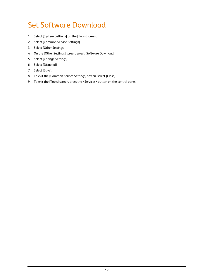## Set Software Download

- 1. Select [System Settings] on the [Tools] screen.
- 2. Select [Common Service Settings].
- 3. Select [Other Settings].
- 4. On the [Other Settings] screen, select [Software Download].
- 5. Select [Change Settings].
- 6. Select [Disabled].
- 7. Select [Save].
- 8. To exit the [Common Service Settings] screen, select [Close].
- 9. To exit the [Tools] screen, press the <Services> button on the control panel.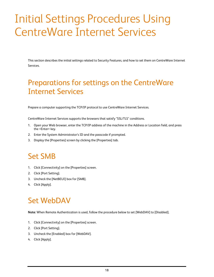# Initial Settings Procedures Using CentreWare Internet Services

This section describes the initial settings related to Security Features, and how to set them on CentreWare Internet Services.

## Preparations for settings on the CentreWare Internet Services

Prepare a computer supporting the TCP/IP protocol to use CentreWare Internet Services.

CentreWare Internet Services supports the browsers that satisfy "SSL/TLS" conditions.

- 1. Open your Web browser, enter the TCP/IP address of the machine in the Address or Location field, and press the <Enter> key.
- 2. Enter the System Administrator's ID and the passcode if prompted.
- 3. Display the [Properties] screen by clicking the [Properties] tab.

## Set SMB

- 1. Click [Connectivity] on the [Properties] screen.
- 2. Click [Port Setting].
- 3. Uncheck the [NetBEUI] box for [SMB].
- 4. Click [Apply].

## Set WebDAV

**Note:** When Remote Authentication is used, follow the procedure below to set [WebDAV] to [Disabled].

- 1. Click [Connectivity] on the [Properties] screen.
- 2. Click [Port Setting].
- 3. Uncheck the [Enabled] box for [WebDAV].
- 4. Click [Apply].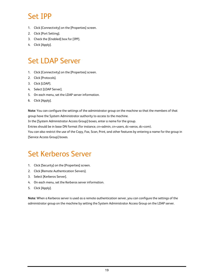## Set IPP

- 1. Click [Connectivity] on the [Properties] screen.
- 2. Click [Port Setting].
- 3. Check the [Enabled] box for [IPP].
- 4. Click [Apply].

## Set LDAP Server

- 1. Click [Connectivity] on the [Properties] screen.
- 2. Click [Protocols].
- 3. Click [LDAP].
- 4. Select [LDAP Server].
- 5. On each menu, set the LDAP server information.
- 6. Click [Apply].

**Note:** You can configure the settings of the administrator group on the machine so that the members of that group have the System Administrator authority to access to the machine.

In the [System Administrator Access Group] boxes, enter a name for the group.

Entries should be in base DN format (for instance, cn=admin, cn=users, dc=xerox, dc=com).

You can also restrict the use of the Copy, Fax, Scan, Print, and other features by entering a name for the group in [Service Access Group] boxes.

## Set Kerberos Server

- 1. Click [Security] on the [Properties] screen.
- 2. Click [Remote Authentication Servers].
- 3. Select [Kerberos Server].
- 4. On each menu, set the Kerberos server information.
- 5. Click [Apply].

**Note:** When a Kerberos server is used as a remote authentication server, you can configure the settings of the administrator group on the machine by setting the System Administrator Access Group on the LDAP server.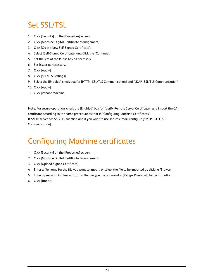## Set SSL/TSL

- 1. Click [Security] on the [Properties] screen.
- 2. Click [Machine Digital Certificate Management].
- 3. Click [Create New Self Signed Certificate].
- 4. Select [Self-Signed Certificate] and Click the [Continue].
- 5. Set the size of the Public Key as necessary.
- 6. Set Issuer as necessary.
- 7. Click [Apply].
- 8. Click [SSL/TLS Settings].
- 9. Select the [Enabled] check box for [HTTP SSL/TLS Communication] and [LDAP- SSL/TLS Communication].
- 10. Click [Apply].
- 11. Click [Reboot Machine].

**Note:** For secure operation, check the [Enabled] box for [Verify Remote Server Certificate], and import the CA certificate according to the same procedure as that in "Configuring Machine Certificates". If SMTP server has SSL/TLS function and if you want to use secure e-mail, configure [SMTP-SSL/TLS Communication].

## Configuring Machine certificates

- 1. Click [Security] on the [Properties] screen.
- 2. Click [Machine Digital Certificate Management].
- 3. Click [Upload Signed Certificate].
- 4. Enter a file name for the file you want to import, or select the file to be imported by clicking [Browse].
- 5. Enter a password in [Password], and then retype the password in [Retype Password] for confirmation.
- 6. Click [Import].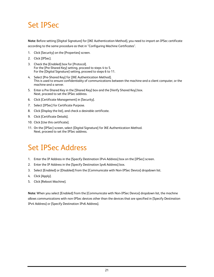## Set IPSec

**Note:** Before setting [Digital Signature] for [IKE Authentication Method], you need to import an IPSec certificate according to the same procedure as that in "Configuring Machine Certificates".

- 1. Click [Security] on the [Properties] screen.
- 2. Click [IPSec].
- 3. Check the [Enabled] box for [Protocol]. For the [Pre-Shared Key] setting, proceed to steps 4 to 5. For the [Digital Signature] setting, proceed to steps 6 to 11.
- 4. Select [Pre-Shared Key] for [IKE Authentication Method]. This is used to ensure confidentiality of communications between the machine and a client computer, or the machine and a server.
- 5. Enter a Pre-Shared Key in the [Shared Key] box and the [Verify Shared Key] box. Next, proceed to set the IPSec address.
- 6. Click [Certificate Management] in [Security].
- 7. Select [IPSec] for Certificate Purpose.
- 8. Click [Display the list], and check a desirable certificate.
- 9. Click [Certificate Details].
- 10. Click [Use this certificate].
- 11. On the [IPSec] screen, select [Digital Signature] for IKE Authentication Method. Next, proceed to set the IPSec address.

## Set IPSec Address

- 1. Enter the IP Address in the [Specify Destination IPv4 Address] box on the [IPSec] screen.
- 2. Enter the IP Address in the [Specify Destination Ipv6 Address] box.
- 3. Select [Enabled] or [Disabled] from the [Communicate with Non-IPSec Device] dropdown list.
- 4. Click [Apply].
- 5. Click [Reboot Machine].

**Note:** When you select [Enabled] from the [Communicate with Non-IPSec Device] dropdown list, the machine allows communications with non-IPSec devices other than the devices that are specified in [Specify Destination IPv4 Address] or [Specify Destination IPv6 Address].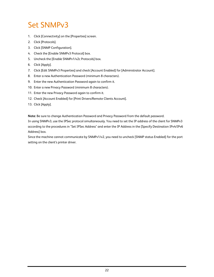## Set SNMPv3

- 1. Click [Connectivity] on the [Properties] screen.
- 2. Click [Protocols].
- 3. Click [SNMP Configuration].
- 4. Check the [Enable SNMPv3 Protocol] box.
- 5. Uncheck the [Enable SNMPv1/v2c Protocols] box.
- 6. Click [Apply].
- 7. Click [Edit SNMPv3 Properties] and check [Account Enabled] for [Administrator Account].
- 8. Enter a new Authentication Password (minimum 8 characters).
- 9. Enter the new Authentication Password again to confirm it.
- 10. Enter a new Privacy Password (minimum 8 characters).
- 11. Enter the new Privacy Password again to confirm it.
- 12. Check [Account Enabled] for [Print Drivers/Remote Clients Account].
- 13. Click [Apply].

**Note:** Be sure to change Authentication Password and Privacy Password from the default password.

In using SNMPv3, use the IPSec protocol simultaneously. You need to set the IP address of the client for SNMPv3 according to the procedures in "Set IPSec Address" and enter the IP Address in the [Specify Destination IPv4/IPv6 Address] box.

Since the machine cannot communicate by SNMPv1/v2, you need to uncheck [SNMP status Enabled] for the port setting on the client's printer driver.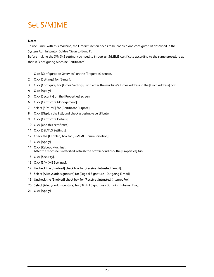## Set S/MIME

### **Note:**

To use E-mail with this machine, the E-mail function needs to be enabled and configured as described in the System Administrator Guide's "Scan to E-mail".

Before making the S/MIME setting, you need to import an S/MIME certificate according to the same procedure as that in "Configuring Machine Certificates".

- 1. Click [Configuration Overview] on the [Properties] screen.
- 2. Click [Settings] for [E-mail].
- 3. Click [Configure] for [E-mail Settings], and enter the machine's E-mail address in the [From address] box.
- 4. Click [Apply].
- 5. Click [Security] on the [Properties] screen.
- 6. Click [Certificate Management].
- 7. Select [S/MIME] for [Certificate Purpose].
- 8. Click [Display the list], and check a desirable certificate.
- 9. Click [Certificate Details].
- 10. Click [Use this certificate].
- 11. Click [SSL/TLS Settings].
- 12. Check the [Enabled] box for [S/MIME Communication].
- 13. Click [Apply].
- 14. Click [Reboot Machine]. After the machine is restarted, refresh the browser and click the [Properties] tab.
- 15. Click [Security].
- 16. Click [S/MIME Settings].
- 17. Uncheck the [Enabled] check box for [Receive Untrusted E-mail].
- 18. Select [Always add signature] for [Digital Signature Outgoing E-mail].
- 19. Uncheck the [Enabled] check box for [Receive Untrusted Internet Fax].
- 20. Select [Always add signature] for [Digital Signature Outgoing Internet Fax].
- 21. Click [Apply].

.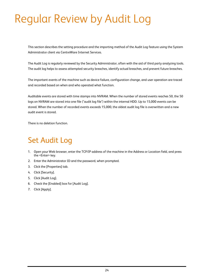# Regular Review by Audit Log

This section describes the setting procedure and the importing method of the Audit Log feature using the System Administrator client via CentreWare Internet Services.

The Audit Log is regularly reviewed by the Security Administrator, often with the aid of third party analyzing tools. The audit log helps to assess attempted security breaches, identify actual breaches, and prevent future breaches.

The important events of the machine such as device failure, configuration change, and user operation are traced and recorded based on when and who operated what function.

Auditable events are stored with time stamps into NVRAM. When the number of stored events reaches 50, the 50 logs on NVRAM are stored into one file ("audit log file") within the internal HDD. Up to 15,000 events can be stored. When the number of recorded events exceeds 15,000, the oldest audit log file is overwritten and a new audit event is stored.

There is no deletion function.

## Set Audit Log

- 1. Open your Web browser, enter the TCP/IP address of the machine in the Address or Location field, and press the <Enter> key.
- 2. Enter the Administrator ID and the password, when prompted.
- 3. Click the [Properties] tab.
- 4. Click [Security].
- 5. Click [Audit Log].
- 6. Check the [Enabled] box for [Audit Log].
- 7. Click [Apply].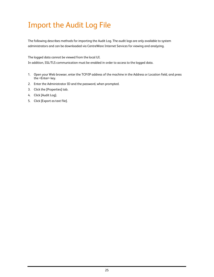## Import the Audit Log File

The following describes methods for importing the Audit Log. The audit logs are only available to system administrators and can be downloaded via CentreWare Internet Services for viewing and analyzing.

The logged data cannot be viewed from the local UI.

In addition, SSL/TLS communication must be enabled in order to access to the logged data.

- 1. Open your Web browser, enter the TCP/IP address of the machine in the Address or Location field, and press the <Enter> key.
- 2. Enter the Administrator ID and the password, when prompted.
- 3. Click the [Properties] tab.
- 4. Click [Audit Log].
- 5. Click [Export as text file].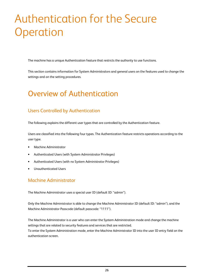# Authentication for the Secure **Operation**

The machine has a unique Authentication feature that restricts the authority to use functions.

This section contains information for System Administrators and general users on the features used to change the settings and on the setting procedures.

## Overview of Authentication

### Users Controlled by Authentication

The following explains the different user types that are controlled by the Authentication feature.

Users are classified into the following four types. The Authentication feature restricts operations according to the user type.

- Machine Administrator
- Authenticated Users (with System Administrator Privileges)
- Authenticated Users (with no System Administrator Privileges)
- Unauthenticated Users

### Machine Administrator

The Machine Administrator uses a special user ID (default ID: "admin").

Only the Machine Administrator is able to change the Machine Administrator ID (default ID: "admin"), and the Machine Administrator Passcode (default passcode: "1111").

The Machine Administrator is a user who can enter the System Administration mode and change the machine settings that are related to security features and services that are restricted. To enter the System Administration mode, enter the Machine Administrator ID into the user ID entry field on the authentication screen.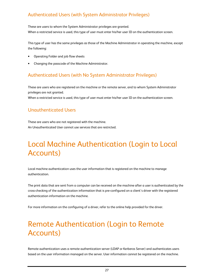### Authenticated Users (with System Administrator Privileges)

These are users to whom the System Administrator privileges are granted. When a restricted service is used, this type of user must enter his/her user ID on the authentication screen.

This type of user has the same privileges as those of the Machine Administrator in operating the machine, except the following:

- Operating Folder and job flow sheets
- Changing the passcode of the Machine Administrator.

### Authenticated Users (with No System Administrator Privileges)

These are users who are registered on the machine or the remote server, and to whom System Administrator privileges are not granted.

When a restricted service is used, this type of user must enter his/her user ID on the authentication screen.

### Unauthenticated Users

These are users who are not registered with the machine. An Unauthenticated User cannot use services that are restricted.

## Local Machine Authentication (Login to Local Accounts)

Local machine authentication uses the user information that is registered on the machine to manage authentication.

The print data that are sent from a computer can be received on the machine after a user is authenticated by the cross-checking of the authentication information that is pre-configured on a client's driver with the registered authentication information on the machine.

For more information on the configuring of a driver, refer to the online help provided for the driver.

## Remote Authentication (Login to Remote Accounts)

Remote authentication uses a remote authentication server (LDAP or Kerberos Server) and authenticates users based on the user information managed on the server. User information cannot be registered on the machine.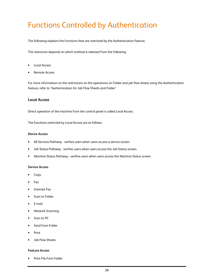## Functions Controlled by Authentication

The following explains the functions that are restricted by the Authentication feature.

The restriction depends on which method is selected from the following:

- Local Access
- Remote Access

For more information on the restrictions on the operations on Folder and job flow sheets using the Authentication feature, refer to "Authentication for Job Flow Sheets and Folder".

### **Local Access**

Direct operation of the machine from the control panel is called Local Access.

The functions restricted by Local Access are as follows.

#### **Device Access**

- All Services Pathway verifies users when users access a service screen.
- Job Status Pathway verifies users when users access the Job Status screen.
- Machine Status Pathway verifies users when users access the Machine Status screen.

#### **Service Access**

- Copy
- Fax
- Internet Fax
- Scan to Folder
- E-mail
- Network Scanning
- Scan to PC
- Send from Folder
- Print
- Job Flow Sheets

#### **Feature Access**

• Print File from Folder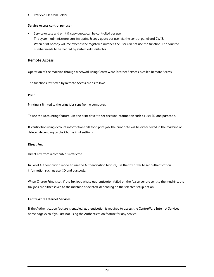• Retrieve File from Folder

#### **Service Access control per user**

Service access and print & copy quota can be controlled per user. The system administrator can limit print & copy quota per user via the control panel and CWIS. When print or copy volume exceeds the registered number, the user can not use the function. The counted number needs to be cleared by system administrator.

### **Remote Access**

Operation of the machine through a network using CentreWare Internet Services is called Remote Access.

The functions restricted by Remote Access are as follows.

#### **Print**

Printing is limited to the print jobs sent from a computer.

To use the Accounting feature, use the print driver to set account information such as user ID and passcode.

If verification using account information fails for a print job, the print data will be either saved in the machine or deleted depending on the Charge Print settings.

#### **Direct Fax**

Direct Fax from a computer is restricted.

In Local Authentication mode, to use the Authentication feature, use the fax driver to set authentication information such as user ID and passcode.

When Charge Print is set, if the fax jobs whose authentication failed on the fax server are sent to the machine, the fax jobs are either saved to the machine or deleted, depending on the selected setup option.

#### **CentreWare Internet Services**

If the Authentication feature is enabled, authentication is required to access the CentreWare Internet Services home page even if you are not using the Authentication feature for any service.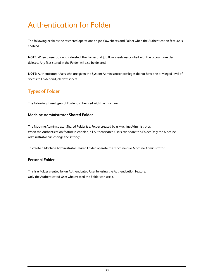## Authentication for Folder

The following explains the restricted operations on job flow sheets and Folder when the Authentication feature is enabled.

**NOTE:** When a user account is deleted, the Folder and job flow sheets associated with the account are also deleted. Any files stored in the Folder will also be deleted.

**NOTE:** Authenticated Users who are given the System Administrator privileges do not have the privileged level of access to Folder and job flow sheets.

### Types of Folder

The following three types of Folder can be used with the machine.

### **Machine Administrator Shared Folder**

The Machine Administrator Shared Folder is a Folder created by a Machine Administrator. When the Authentication feature is enabled, all Authenticated Users can share this Folder.Only the Machine Administrator can change the settings.

To create a Machine Administrator Shared Folder, operate the machine as a Machine Administrator.

### **Personal Folder**

This is a Folder created by an Authenticated User by using the Authentication feature. Only the Authenticated User who created the Folder can use it.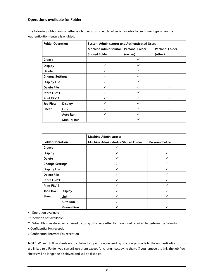### **Operations available for Folder**

The following table shows whether each operation on each Folder is available for each user type when the Authentication feature is enabled.

| <b>Folder Operation</b> |                   | <b>System Administrator and Authenticated Users</b> |                        |                        |
|-------------------------|-------------------|-----------------------------------------------------|------------------------|------------------------|
|                         |                   | <b>Machine Administrator</b>                        | <b>Personal Folder</b> | <b>Personal Folder</b> |
|                         |                   | <b>Shared Folder</b>                                | (owner)                | (other)                |
| Create                  |                   |                                                     |                        |                        |
| <b>Display</b>          |                   | ✓                                                   | ✓                      |                        |
| <b>Delete</b>           |                   |                                                     |                        |                        |
| <b>Change Settings</b>  |                   |                                                     | ✓                      |                        |
| <b>Display File</b>     |                   |                                                     |                        |                        |
| <b>Delete File</b>      |                   | ✓                                                   | ✓                      |                        |
| <b>Store File*1</b>     |                   | ✓                                                   |                        |                        |
| <b>Print File*1</b>     |                   | ✓                                                   |                        |                        |
| <b>Job Flow</b>         | <b>Display</b>    | ✓                                                   |                        |                        |
| <b>Sheet</b>            | Link              |                                                     |                        |                        |
|                         | <b>Auto Run</b>   |                                                     |                        |                        |
|                         | <b>Manual Run</b> |                                                     |                        |                        |

|                         |                   | <b>Machine Administrator</b>               |                        |
|-------------------------|-------------------|--------------------------------------------|------------------------|
| <b>Folder Operation</b> |                   | <b>Machine Administrator Shared Folder</b> | <b>Personal Folder</b> |
| Create                  |                   |                                            |                        |
| <b>Display</b>          |                   |                                            |                        |
| <b>Delete</b>           |                   | ✓                                          | ✓                      |
| <b>Change Settings</b>  |                   |                                            |                        |
| <b>Display File</b>     |                   |                                            |                        |
| <b>Delete File</b>      |                   | ✓                                          | $\checkmark$           |
| <b>Store File*1</b>     |                   |                                            |                        |
| <b>Print File*1</b>     |                   |                                            |                        |
| <b>Job Flow</b>         | <b>Display</b>    | ✓                                          | ✓                      |
| <b>Sheet</b>            | Link              |                                            | ✓                      |
|                         | <b>Auto Run</b>   |                                            |                        |
|                         | <b>Manual Run</b> |                                            |                        |

: Operation available

-: Operation not available

\*1: When files are stored or retrieved by using a Folder, authentication is not required to perform the following.

• Confidential fax reception

• Confidential Internet Fax reception

**NOTE:** When job flow sheets not available for operation, depending on changes made to the authentication status, are linked to a Folder, you can still use them except for changing/copying them. If you remove the link, the job flow sheets will no longer be displayed and will be disabled.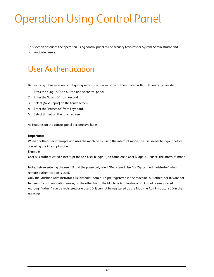# Operation Using Control Panel

This section describes the operation using control panel to use security features for System Administrator and authenticated users.

## User Authentication

Before using all services and configuring settings, a user must be authenticated with an ID and a passcode.

- 1. Press the <Log In/Out> button on the control panel.
- 2. Enter the "User ID" from keypad.
- 3. Select [Next Input] on the touch screen.
- 4. Enter the "Passcode" from keyboard.
- 5. Select [Enter] on the touch screen.

All features on the control panel become available.

#### **Important:**

When another user interrupts and uses the machine by using the interrupt mode, the user needs to logout before canceling the interrupt mode.

Example:

User A is authenticated > interrupt mode > User B login > job complete > User B logout > cancel the interrupt mode

**Note:** Before entering the user ID and the password, select "Registered User" or "System Administrator" when remote authentication is used.

Only the Machine Administrator's ID (default: "admin") is pre-registered in the machine, but other user IDs are not. In a remote authentication server, on the other hand, the Machine Administrator's ID is not pre-registered. Although "admin" can be registered as a user ID, it cannot be registered as the Machine Administrator's ID in the machine.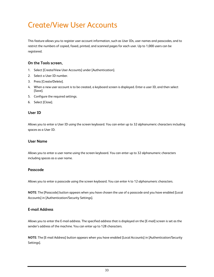## Create/View User Accounts

This feature allows you to register user account information, such as User IDs, user names and passcodes, and to restrict the numbers of copied, faxed, printed, and scanned pages for each user. Up to 1,000 users can be registered.

### **On the Tools screen,**

- 1. Select [Create/View User Accounts] under [Authentication].
- 2. Select a User ID number.
- 3. Press [Create/Delete].
- 4. When a new user account is to be created, a keyboard screen is displayed. Enter a user ID, and then select [Save].
- 5. Configure the required settings.
- 6. Select [Close].

### **User ID**

Allows you to enter a User ID using the screen keyboard. You can enter up to 32 alphanumeric characters including spaces as a User ID.

### **User Name**

Allows you to enter a user name using the screen keyboard. You can enter up to 32 alphanumeric characters including spaces as a user name.

### **Passcode**

Allows you to enter a passcode using the screen keyboard. You can enter 4 to 12 alphanumeric characters.

**NOTE:** The [Passcode] button appears when you have chosen the use of a passcode and you have enabled [Local Accounts] in [Authentication/Security Settings].

### **E-mail Address**

Allows you to enter the E-mail address. The specified address that is displayed on the [E-mail] screen is set as the sender's address of the machine. You can enter up to 128 characters.

**NOTE:** The [E-mail Address] button appears when you have enabled [Local Accounts] in [Authentication/Security Settings].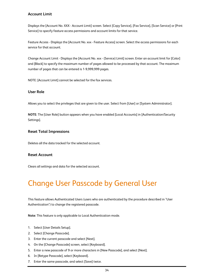### **Account Limit**

Displays the [Account No. XXX - Account Limit] screen. Select [Copy Service], [Fax Service], [Scan Service] or [Print Service] to specify feature access permissions and account limits for that service.

Feature Access - Displays the [Account No. xxx - Feature Access] screen. Select the access permissions for each service for that account.

Change Account Limit - Displays the [Account No. xxx - {Service} Limit] screen. Enter an account limit for [Color] and [Black] to specify the maximum number of pages allowed to be processed by that account. The maximum number of pages that can be entered is 1-9,999,999 pages.

NOTE: [Account Limit] cannot be selected for the fax services.

### **User Role**

Allows you to select the privileges that are given to the user. Select from [User] or [System Administrator].

**NOTE:** The [User Role] button appears when you have enabled [Local Accounts] in [Authentication/Security Settings].

### **Reset Total Impressions**

Deletes all the data tracked for the selected account.

### **Reset Account**

Clears all settings and data for the selected account.

## Change User Passcode by General User

This feature allows Authenticated Users (users who are authenticated by the procedure described in "User Authentication") to change the registered passcode.

**Note:** This feature is only applicable to Local Authentication mode.

- 1. Select [User Details Setup].
- 2. Select [Change Passcode].
- 3. Enter the current passcode and select [Next].
- 4. On the [Change Passcode] screen, select [Keyboard].
- 5. Enter a new passcode of 9 or more characters in [New Passcode], and select [Next].
- 6. In [Retype Passcode], select [Keyboard].
- 7. Enter the same passcode, and select [Save] twice.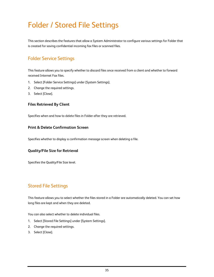## Folder / Stored File Settings

This section describes the features that allow a System Administrator to configure various settings for Folder that is created for saving confidential incoming fax files or scanned files.

### Folder Service Settings

This feature allows you to specify whether to discard files once received from a client and whether to forward received Internet Fax files.

- 1. Select [Folder Service Settings] under [System Settings].
- 2. Change the required settings.
- 3. Select [Close].

### **Files Retrieved By Client**

Specifies when and how to delete files in Folder after they are retrieved.

### **Print & Delete Confirmation Screen**

Specifies whether to display a confirmation message screen when deleting a file.

### **Quality/File Size for Retrieval**

Specifies the Quality/File Size level.

### Stored File Settings

This feature allows you to select whether the files stored in a Folder are automatically deleted. You can set how long files are kept and when they are deleted.

You can also select whether to delete individual files.

- 1. Select [Stored File Settings] under [System Settings].
- 2. Change the required settings.
- 3. Select [Close].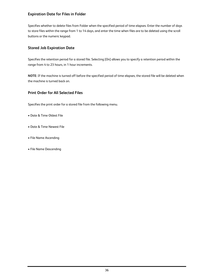### **Expiration Date for Files in Folder**

Specifies whether to delete files from Folder when the specified period of time elapses. Enter the number of days to store files within the range from 1 to 14 days, and enter the time when files are to be deleted using the scroll buttons or the numeric keypad.

### **Stored Job Expiration Date**

Specifies the retention period for a stored file. Selecting [On] allows you to specify a retention period within the range from 4 to 23 hours, in 1 hour increments.

**NOTE:** If the machine is turned off before the specified period of time elapses, the stored file will be deleted when the machine is turned back on.

### **Print Order for All Selected Files**

Specifies the print order for a stored file from the following menu.

- Date & Time Oldest File
- Date & Time Newest File
- File Name Ascending
- File Name Descending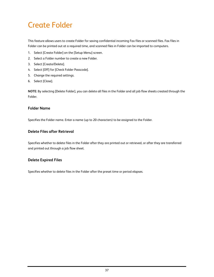## Create Folder

This feature allows users to create Folder for saving confidential incoming Fax files or scanned files. Fax files in Folder can be printed out at a required time, and scanned files in Folder can be imported to computers.

- 1. Select [Create Folder] on the [Setup Menu] screen.
- 2. Select a Folder number to create a new Folder.
- 3. Select [Create/Delete].
- 4. Select [Off] for [Check Folder Passcode].
- 5. Change the required settings.
- 6. Select [Close].

**NOTE:** By selecting [Delete Folder], you can delete all files in the Folder and all job flow sheets created through the Folder.

### **Folder Name**

Specifies the Folder name. Enter a name (up to 20 characters) to be assigned to the Folder.

### **Delete Files after Retrieval**

Specifies whether to delete files in the Folder after they are printed out or retrieved, or after they are transferred and printed out through a job flow sheet.

### **Delete Expired Files**

Specifies whether to delete files in the Folder after the preset time or period elapses.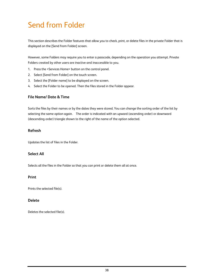## Send from Folder

This section describes the Folder features that allow you to check, print, or delete files in the private Folder that is displayed on the [Send from Folder] screen.

However, some Folders may require you to enter a passcode, depending on the operation you attempt. Private Folders created by other users are inactive and inaccessible to you.

- 1. Press the <Services Home> button on the control panel.
- 2. Select [Send from Folder] on the touch screen.
- 3. Select the [Folder name] to be displayed on the screen.
- 4. Select the Folder to be opened. Then the files stored in the Folder appear.

### **File Name/ Date & Time**

Sorts the files by their names or by the dates they were stored. You can change the sorting order of the list by selecting the same option again. The order is indicated with an upward (ascending order) or downward (descending order) triangle shown to the right of the name of the option selected.

### **Refresh**

Updates the list of files in the Folder.

### **Select All**

Selects all the files in the Folder so that you can print or delete them all at once.

### **Print**

Prints the selected file(s).

### **Delete**

Deletes the selected file(s).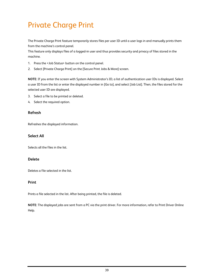## Private Charge Print

The Private Charge Print feature temporarily stores files per user ID until a user logs in and manually prints them from the machine's control panel.

This feature only displays files of a logged-in user and thus provides security and privacy of files stored in the machine.

- 1. Press the <Job Status> button on the control panel.
- 2. Select [Private Charge Print] on the [Secure Print Jobs & More] screen.

**NOTE:** If you enter the screen with System Administrator's ID, a list of authentication user IDs is displayed. Select a user ID from the list or enter the displayed number in [Go to], and select [Job List]. Then, the files stored for the selected user ID are displayed.

- 3. Select a file to be printed or deleted.
- 4. Select the required option.

### **Refresh**

Refreshes the displayed information.

### **Select All**

Selects all the files in the list.

### **Delete**

Deletes a file selected in the list.

### **Print**

Prints a file selected in the list. After being printed, the file is deleted.

**NOTE:** The displayed jobs are sent from a PC via the print driver. For more information, refer to Print Driver Online Help.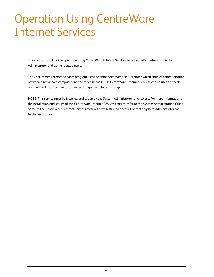# Operation Using CentreWare Internet Services

This section describes the operation using CentreWare Internet Services to use security features for System Administrator and authenticated users.

The CentreWare Internet Services program uses the embedded Web User Interface which enables communication between a networked computer and the machine via HTTP. CentreWare Internet Services can be used to check each job and the machine status, or to change the network settings.

**NOTE:** This service must be installed and set up by the System Administrator prior to use. For more information on the installation and setups of the CentreWare Internet Services feature, refer to the System Administration Guide. Some of the CentreWare Internet Services features have restricted access. Contact a System Administrator for further assistance.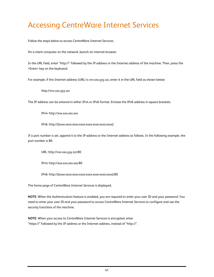## Accessing CentreWare Internet Services

Follow the steps below to access CentreWare Internet Services.

On a client computer on the network, launch an internet browser.

In the URL field, enter "http://" followed by the IP address or the Internet address of the machine. Then, press the <Enter> key on the keyboard.

For example, if the Internet address (URL) is vvv.xxx.yyy.zzz, enter it in the URL field as shown below:

http://vvv.xxx.yyy.zzz

The IP address can be entered in either IPv4 or IPv6 format. Enclose the IPv6 address in square brackets.

IPv4: http://xxx.xxx.xxx.xxx

IPv6: http://[xxxx:xxxx:xxxx:xxxx:xxxx:xxxx:xxxx:xxxx]

If a port number is set, append it to the IP address or the Internet address as follows. In the following example, the port number is 80.

URL: http://vvv.xxx.yyy.zzz:80

IPv4: http://xxx.xxx.xxx.xxx:80

IPv6: http://[xxxx:xxxx:xxxx:xxxx:xxxx:xxxx:xxxx:xxxx]:80

The home page of CentreWare Internet Services is displayed.

**NOTE:** When the Authentication feature is enabled, you are required to enter your user ID and your password. You need to enter your user ID and your password to access CentreWare Internet Services to configure and use the security functions of the machine.

**NOTE:** When your access to CentreWare Internet Services is encrypted, enter "https://" followed by the IP address or the Internet address, instead of "http://".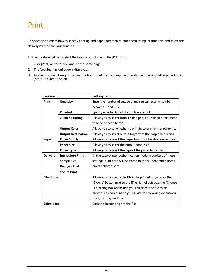## Print

This section describes how to specify printing and paper parameters, enter accounting information, and select the delivery method for your print job.

Follow the steps below to select the features available on the [Print] tab.

- 1. Click [Print] on the Main Panel of the home page.
- 2. The [Job Submission] page is displayed.
- 3. Job Submission allows you to print the files stored in your computer. Specify the following settings, and click [Start] to submit the job.

| Feature          |                           | <b>Setting items</b>                                             |
|------------------|---------------------------|------------------------------------------------------------------|
| Print            | Quantity                  | Enter the number of sets to print. You can enter a number        |
|                  |                           | between 1 and 999.                                               |
|                  | Collated                  | Specify whether to collate printouts or not.                     |
|                  | 2 Sided Printing          | Allows you to select from 1 sided prints or 2 sided prints (head |
|                  |                           | to head or head to toe).                                         |
|                  | <b>Output Color</b>       | Allows you to set whether to print in color or in monochrome.    |
|                  | <b>Output Destination</b> | Allows you to select output trays from the drop down menu.       |
| Paper            | <b>Paper Supply</b>       | Allows you to select the paper tray from the drop down menu.     |
|                  | <b>Paper Size</b>         | Allows you to select the output paper size.                      |
|                  | <b>Paper Type</b>         | Allows you to select the type of the paper to be used.           |
| <b>Delivery</b>  | <b>Immediate Print</b>    | In the case of user authentication mode, regardless of these     |
|                  | <b>Sample Set</b>         | settings, print data will be stored to the authenticated user's  |
|                  | <b>Delayed Print</b>      | private charge print.                                            |
|                  | <b>Secure Print</b>       |                                                                  |
| <b>File Name</b> |                           | Allows you to specify the file to be printed. If you click the   |
|                  |                           | [Browse] button next to the [File Name] edit box, the [Choose    |
|                  |                           | File] dialog box opens and you can select the file to be         |
|                  |                           | printed. You can print only files with the following extensions. |
|                  |                           | : .pdf, .tif, .jpg, and .xps.                                    |
| Submit Job       |                           | Click this button to print the file.                             |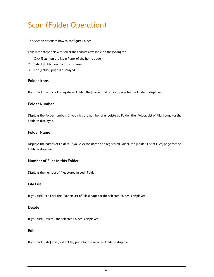## Scan (Folder Operation)

This section describes how to configure Folder.

Follow the steps below to select the features available on the [Scan] tab.

- 1. Click [Scan] on the Main Panel of the home page.
- 2. Select [Folder] on the [Scan] screen.
- 3. The [Folder] page is displayed.

### **Folder icons**

If you click the icon of a registered Folder, the [Folder: List of Files] page for the Folder is displayed.

### **Folder Number**

Displays the Folder numbers. If you click the number of a registered Folder, the [Folder: List of Files] page for the Folder is displayed.

### **Folder Name**

Displays the names of Folders. If you click the name of a registered Folder, the [Folder: List of Files] page for the Folder is displayed.

### **Number of Files in this Folder**

Displays the number of files stored in each Folder.

### **File List**

If you click [File List], the [Folder: List of Files] page for the selected Folder is displayed.

### **Delete**

If you click [Delete], the selected Folder is displayed.

### **Edit**

If you click [Edit], the [Edit Folder] page for the selected Folder is displayed.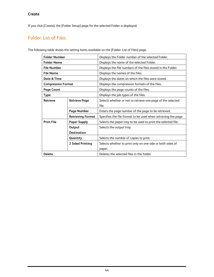### **Create**

If you click [Create], the [Folder Setup] page for the selected Folder is displayed.

### Folder: List of Files

The following table shows the setting items available on the [Folder: List of Files] page.

| <b>Folder Number</b>      |                          | Displays the Folder number of the selected Folder.             |
|---------------------------|--------------------------|----------------------------------------------------------------|
| <b>Folder Name</b>        |                          | Displays the name of the selected Folder.                      |
| <b>File Number</b>        |                          | Displays the file numbers of the files stored in the Folder.   |
| <b>File Name</b>          |                          | Displays the names of the files.                               |
| Date & Time               |                          | Displays the dates on which the files were stored.             |
| <b>Compression Format</b> |                          | Displays the compression formats of the files.                 |
| <b>Page Count</b>         |                          | Displays the page counts of the files.                         |
| <b>Type</b>               |                          | Displays the job types of the files.                           |
| <b>Retrieve</b>           | <b>Retrieve Page</b>     | Selects whether or not to retrieve one page of the selected    |
|                           |                          | file.                                                          |
|                           | <b>Page Number</b>       | Enters the page number of the page to be retrieved.            |
|                           | <b>Retrieving Format</b> | Specifies the file format to be used when retrieving the page. |
| <b>Print File</b>         | <b>Paper Supply</b>      | Selects the paper tray to be used to print the selected file.  |
|                           | Output                   | Selects the output tray.                                       |
|                           | <b>Destination</b>       |                                                                |
|                           | Quantity                 | Selects the number of copies to print.                         |
|                           | 2 Sided Printing         | Selects whether to print only on one side or both sides of     |
|                           |                          | paper.                                                         |
| <b>Delete</b>             |                          | Deletes the selected files in the folder.                      |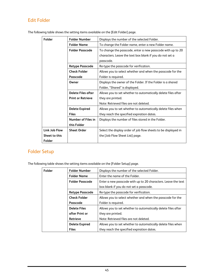### Edit Folder

| Folder        | <b>Folder Number</b>      | Displays the number of the selected Folder.                    |
|---------------|---------------------------|----------------------------------------------------------------|
|               | <b>Folder Name</b>        | To change the Folder name, enter a new Folder name.            |
|               | <b>Folder Passcode</b>    | To change the passcode, enter a new passcode with up to 20     |
|               |                           | characters. Leave the text box blank if you do not set a       |
|               |                           | passcode.                                                      |
|               | <b>Retype Passcode</b>    | Re-type the passcode for verification.                         |
|               | <b>Check Folder</b>       | Allows you to select whether and when the passcode for the     |
|               | Passcode                  | Folder is required.                                            |
|               | Owner                     | Displays the owner of the Folder. If the Folder is a shared    |
|               |                           | Folder, "Shared" is displayed.                                 |
|               | <b>Delete Files after</b> | Allows you to set whether to automatically delete files after  |
|               | <b>Print or Retrieve</b>  | they are printed.                                              |
|               |                           | Note: Retrieved files are not deleted.                         |
|               | <b>Delete Expired</b>     | Allows you to set whether to automatically delete files when   |
|               | <b>Files</b>              | they reach the specified expiration dates.                     |
|               | Number of Files in        | Displays the number of files stored in the Folder.             |
|               | this Folder               |                                                                |
| Link Job Flow | <b>Sheet Order</b>        | Select the display order of job flow sheets to be displayed in |
| Sheet to this |                           | the [Job Flow Sheet List] page.                                |
| Folder        |                           |                                                                |

The following table shows the setting items available on the [Edit Folder] page.

### Folder Setup

The following table shows the setting items available on the [Folder Setup] page.

| Folder | <b>Folder Number</b>   | Displays the number of the selected Folder.                   |
|--------|------------------------|---------------------------------------------------------------|
|        | <b>Folder Name</b>     | Enter the name of the Folder.                                 |
|        | <b>Folder Passcode</b> | Enter a new passcode with up to 20 characters. Leave the text |
|        |                        | box blank if you do not set a passcode.                       |
|        | <b>Retype Passcode</b> | Re-type the passcode for verification.                        |
|        | <b>Check Folder</b>    | Allows you to select whether and when the passcode for the    |
|        | Passcode               | Folder is required.                                           |
|        | <b>Delete Files</b>    | Allows you to set whether to automatically delete files after |
|        | after Print or         | they are printed.                                             |
|        | <b>Retrieve</b>        | Note: Retrieved files are not deleted.                        |
|        | <b>Delete Expired</b>  | Allows you to set whether to automatically delete files when  |
|        | <b>Files</b>           | they reach the specified expiration dates.                    |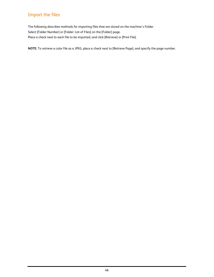### Import the files

The following describes methods for importing files that are stored on the machine's Folder. Select [Folder Number] or [Folder: List of Files] on the [Folder] page. Place a check next to each file to be imported, and click [Retrieve] or [Print File].

**NOTE:** To retrieve a color file as a JPEG, place a check next to [Retrieve Page], and specify the page number.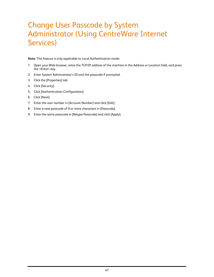## Change User Passcode by System Administrator (Using CentreWare Internet Services)

**Note:** This feature is only applicable to Local Authentication mode.

- 1. Open your Web browser, enter the TCP/IP address of the machine in the Address or Location field, and press the <Enter> key.
- 2. Enter System Administrator's ID and the passcode if prompted.
- 3. Click the [Properties] tab.
- 4. Click [Security].
- 5. Click [Authentication Configuration].
- 6. Click [Next].
- 7. Enter the user number in [Account Number] and click [Edit].
- 8. Enter a new passcode of 9 or more characters in [Passcode].
- 9. Enter the same passcode in [Retype Passcode] and click [Apply].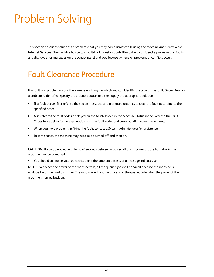# Problem Solving

This section describes solutions to problems that you may come across while using the machine and CentreWare Internet Services. The machine has certain built-in diagnostic capabilities to help you identify problems and faults, and displays error messages on the control panel and web browser, whenever problems or conflicts occur.

## Fault Clearance Procedure

If a fault or a problem occurs, there are several ways in which you can identify the type of the fault. Once a fault or a problem is identified, specify the probable cause, and then apply the appropriate solution.

- If a fault occurs, first refer to the screen messages and animated graphics to clear the fault according to the specified order.
- Also refer to the fault codes displayed on the touch screen in the Machine Status mode. Refer to the Fault Codes table below for an explanation of some fault codes and corresponding corrective actions.
- When you have problems in fixing the fault, contact a System Administrator for assistance.
- In some cases, the machine may need to be turned off and then on.

**CAUTION:** If you do not leave at least 20 seconds between a power off and a power on, the hard disk in the machine may be damaged.

• You should call for service representative if the problem persists or a message indicates so.

**NOTE:** Even when the power of the machine fails, all the queued jobs will be saved because the machine is equipped with the hard disk drive. The machine will resume processing the queued jobs when the power of the machine is turned back on.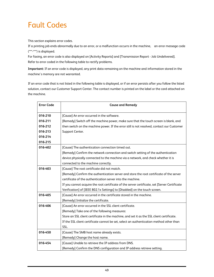## Fault Codes

This section explains error codes.

If a printing job ends abnormally due to an error, or a malfunction occurrs in the machine, an error message code (\*\*\*-\*\*\*) is displayed.

For faxing, an error code is also displayed on [Activity Reports] and [Transmission Report - Job Undelivered]. Refer to error coded in the following table to rectify problems.

**Important:** If an error code is displayed, any print data remaining on the machine and information stored in the machine's memory are not warranted.

If an error code that is not listed in the following table is displayed, or if an error persists after you follow the listed solution, contact our Customer Support Center. The contact number is printed on the label or the card attached on the machine.

| <b>Error Code</b> | <b>Cause and Remedy</b>                                                                       |
|-------------------|-----------------------------------------------------------------------------------------------|
| 016-210           | [Cause] An error occurred in the software.                                                    |
| 016-211           | [Remedy] Switch off the machine power, make sure that the touch screen is blank, and          |
| 016-212           | then switch on the machine power. If the error still is not resolved, contact our Customer    |
| 016-213           | Support Center.                                                                               |
| 016-214           |                                                                                               |
| 016-215           |                                                                                               |
| 016-402           | [Cause] The authentication connection timed out.                                              |
|                   | [Remedy] Confirm the network connection and switch setting of the authentication              |
|                   | device physically connected to the machine via a network, and check whether it is             |
|                   | connected to the machine correctly.                                                           |
| 016-403           | [Cause] The root certificate did not match.                                                   |
|                   | [Remedy] Confirm the authentication server and store the root certificate of the server       |
|                   | certificate of the authentication server into the machine.                                    |
|                   | If you cannot acquire the root certificate of the server certificate, set [Server Certificate |
|                   | Verification] of [IEEE 802.1x Settings] to [Disabled] on the touch screen.                    |
| 016-405           | [Cause] An error occurred in the certificate stored in the machine.                           |
|                   | [Remedy] Initialize the certificate.                                                          |
| 016-406           | [Cause] An error occurred in the SSL client certificate.                                      |
|                   | [Remedy] Take one of the following measures:                                                  |
|                   | Store an SSL client certificate in the machine, and set it as the SSL client certificate.     |
|                   | If the SSL client certificate cannot be set, select an authentication method other than       |
|                   | SSL.                                                                                          |
| 016-450           | [Cause] The SMB host name already exists.                                                     |
|                   | [Remedy] Change the host name.                                                                |
| 016-454           | [Cause] Unable to retrieve the IP address from DNS.                                           |
|                   | [Remedy] Confirm the DNS configuration and IP address retrieve setting.                       |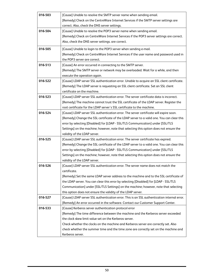| 016-503 | [Cause] Unable to resolve the SMTP server name when sending email.                                                                                          |
|---------|-------------------------------------------------------------------------------------------------------------------------------------------------------------|
|         | [Remedy] Check on the CentreWare Internet Services if the SMTP server settings are                                                                          |
|         | correct. Also, check the DNS server settings.                                                                                                               |
| 016-504 | [Cause] Unable to resolve the POP3 server name when sending email.                                                                                          |
|         | [Remedy] Check on CentreWare Internet Services if the POP3 server settings are correct.                                                                     |
|         | Also, check the DNS server settings. are correct.                                                                                                           |
| 016-505 | [Cause] Unable to login to the POP3 server when sending e-mail.                                                                                             |
|         | [Remedy] Check on CentreWare Internet Services if the user name and password used in                                                                        |
|         | the POP3 server are correct.                                                                                                                                |
| 016-513 | [Cause] An error occurred in connecting to the SMTP server.                                                                                                 |
|         | [Remedy] The SMTP server or network may be overloaded. Wait for a while, and then                                                                           |
|         | execute the operation again.                                                                                                                                |
| 016-522 | [Cause] LDAP server SSL authentication error. Unable to acquire an SSL client certificate.                                                                  |
|         | [Remedy] The LDAP server is requesting an SSL client certificate. Set an SSL client                                                                         |
|         | certificate on the machine.                                                                                                                                 |
| 016-523 | [Cause] LDAP server SSL authentication error. The server certificate data is incorrect.                                                                     |
|         | [Remedy] The machine cannot trust the SSL certificate of the LDAP server. Register the                                                                      |
|         | root certificate for the LDAP server's SSL certificate to the machine.                                                                                      |
| 016-524 | [Cause] LDAP server SSL authentication error. The server certificate will expire soon.                                                                      |
|         | [Remedy] Change the SSL certificate of the LDAP server to a valid one. You can clear this                                                                   |
|         | error by selecting [Disabled] for [LDAP - SSL/TLS Communication] under [SSL/TLS                                                                             |
|         | Settings] on the machine; however, note that selecting this option does not ensure the                                                                      |
|         | validity of the LDAP server.                                                                                                                                |
| 016-525 | [Cause] LDAP server SSL authentication error. The server certificate has expired.                                                                           |
|         | [Remedy] Change the SSL certificate of the LDAP server to a valid one. You can clear this                                                                   |
|         | error by selecting [Disabled] for [LDAP - SSL/TLS Communication] under [SSL/TLS                                                                             |
|         | Settings] on the machine; however, note that selecting this option does not ensure the                                                                      |
|         | validity of the LDAP server.                                                                                                                                |
| 016-526 | [Cause] LDAP server SSL authentication error. The server name does not match the                                                                            |
|         | certificate.                                                                                                                                                |
|         | [Remedy] Set the same LDAP server address to the machine and to the SSL certificate of                                                                      |
|         | the LDAP server. You can clear this error by selecting [Disabled] for [LDAP - SSL/TLS                                                                       |
|         | Communication] under [SSL/TLS Settings] on the machine; however, note that selecting                                                                        |
| 016-527 | this option does not ensure the validity of the LDAP server.<br>[Cause] LDAP server SSL authentication error. This is an SSL authentication internal error. |
|         |                                                                                                                                                             |
| 016-533 | [Remedy] An error occurred in the software. Contact our Customer Support Center.<br>[Cause] Kerberos server authentication protocol error                   |
|         | [Remedy] The time difference between the machine and the Kerberos server exceeded                                                                           |
|         | the clock skew limit value set on the Kerberos server.                                                                                                      |
|         | Check whether the clocks on the machine and Kerberos server are correctly set. Also                                                                         |
|         | check whether the summer time and the time zone are correctly set on the machine and                                                                        |
|         | Kerberos server.                                                                                                                                            |
|         |                                                                                                                                                             |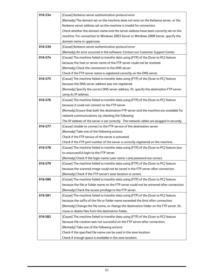| 016-534 | [Cause] Kerberos server authentication protocol error                                      |
|---------|--------------------------------------------------------------------------------------------|
|         | [Remedy] The domain set on the machine does not exist on the Kerberos server, or the       |
|         | Kerberos server address set on the machine is invalid for connection.                      |
|         | Check whether the domain name and the server address have been correctly set on the        |
|         |                                                                                            |
|         | machine. For connection to Windows 2003 Server or Windows 2008 Server, specify the         |
|         | domain name in uppercase.                                                                  |
| 016-539 | [Cause] Kerberos server authentication protocol error                                      |
|         | [Remedy] An error occurred in the software. Contact our Customer Support Center.           |
| 016-574 | [Cause] The machine failed to transfer data using [FTP] of the [Scan to PC] feature        |
|         | because the host or server name of the FTP server could not be resolved.                   |
|         | [Remedy] Check the connection to the DNS server.                                           |
|         | Check if the FTP server name is registered correctly on the DNS server.                    |
| 016-575 | [Cause] The machine failed to transfer data using [FTP] of the [Scan to PC] feature        |
|         | because the DNS server address was not registered.                                         |
|         | [Remedy] Specify the correct DNS server address. Or, specify the destination FTP server    |
|         | using its IP address.                                                                      |
| 016-576 | [Cause] The machine failed to transfer data using [FTP] of the [Scan to PC] feature        |
|         | because it could not connect to the FTP server.                                            |
|         | [Remedy] Ensure that both the destination FTP server and the machine are available for     |
|         | network communications, by checking the following:                                         |
|         | The IP address of the server is set correctly. The network cables are plugged in securely. |
| 016-577 | [Cause] Unable to connect to the FTP service of the destination server.                    |
|         | [Remedy] Take one of the following actions:                                                |
|         | Check if the FTP service of the server is activated.                                       |
|         | Check if the FTP port number of the server is correctly registered on the machine.         |
| 016-578 | [Cause] The machine failed to transfer data using [FTP] of the [Scan to PC] feature due    |
|         | to unsuccessful login to the FTP server.                                                   |
|         | [Remedy] Check if the login name (user name) and password are correct.                     |
| 016-579 | [Cause] The machine failed to transfer data using [FTP] of the [Scan to PC] feature        |
|         | because the scanned image could not be saved in the FTP server after connection.           |
|         | [Remedy] Check if the FTP server's save location is correct.                               |
| 016-580 | [Cause] The machine failed to transfer data using [FTP] of the [Scan to PC] feature        |
|         | because the file or folder name on the FTP server could not be retrieved after connection. |
|         | [Remedy] Check the access privilege to the FTP server.                                     |
| 016-581 | [Cause] The machine failed to transfer data using [FTP] of the [Scan to PC] feature        |
|         | because the suffix of the file or folder name exceeded the limit after connection.         |
|         | [Remedy] Change the file name, or change the destination folder on the FTP server. Or,     |
|         | move or delete files from the destination folder.                                          |
| 016-582 | [Cause] The machine failed to transfer data using [FTP] of the [Scan to PC] feature        |
|         | because file creation was not successful on the FTP server after connection.               |
|         | [Remedy] Take one of the following actions:                                                |
|         | Check if the specified file name can be used in the save location.                         |
|         | Check if enough space is available in the save location.                                   |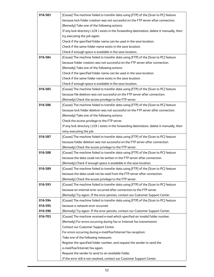| 016-583 | [Cause] The machine failed to transfer data using [FTP] of the [Scan to PC] feature         |
|---------|---------------------------------------------------------------------------------------------|
|         | because lock folder creation was not successful on the FTP server after connection.         |
|         | [Remedy] Take one of the following actions:                                                 |
|         | If any lock directory (.LCK) exists in the forwarding destination, delete it manually, then |
|         | try executing the job again.                                                                |
|         | Check if the specified folder name can be used in the save location.                        |
|         | Check if the same folder name exists in the save location.                                  |
|         | Check if enough space is available in the save location.                                    |
| 016-584 | [Cause] The machine failed to transfer data using [FTP] of the [Scan to PC] feature         |
|         | because folder creation was not successful on the FTP server after connection.              |
|         | [Remedy] Take one of the following actions:                                                 |
|         | Check if the specified folder name can be used in the save location.                        |
|         | Check if the same folder name exists in the save location.                                  |
|         | Check if enough space is available in the save location.                                    |
| 016-585 | [Cause] The machine failed to transfer data using [FTP] of the [Scan to PC] feature         |
|         | because file deletion was not successful on the FTP server after connection.                |
|         | [Remedy] Check the access privilege to the FTP server.                                      |
| 016-586 | [Cause] The machine failed to transfer data using [FTP] of the [Scan to PC] feature         |
|         | because lock folder deletion was not successful on the FTP server after connection.         |
|         | [Remedy] Take one of the following actions:                                                 |
|         | Check the access privilege to the FTP server.                                               |
|         | If any lock directory (.LCK) exists in the forwarding destination, delete it manually, then |
|         | retry executing the job.                                                                    |
| 016-587 | [Cause] The machine failed to transfer data using [FTP] of the [Scan to PC] feature         |
|         | because folder deletion was not successful on the FTP server after connection.              |
|         | [Remedy] Check the access privilege to the FTP server.                                      |
| 016-588 | [Cause] The machine failed to transfer data using [FTP] of the [Scan to PC] feature         |
|         | because the data could not be written in the FTP server after connection.                   |
|         | [Remedy] Check if enough space is available in the save location.                           |
| 016-589 | [Cause] The machine failed to transfer data using [FTP] of the [Scan to PC] feature         |
|         | because the data could not be read from the FTP server after connection.                    |
|         | [Remedy] Check the access privilege to the FTP server.                                      |
| 016-593 | [Cause] The machine failed to transfer data using [FTP] of the [Scan to PC] feature         |
|         | because an internal error occurred after connection to the FTP server.                      |
|         | [Remedy] Try again. If the error persists, contact our Customer Support Center.             |
| 016-594 | [Cause] The machine failed to transfer data using [FTP] of the [Scan to PC] feature         |
| 016-595 | because a network error occurred.                                                           |
| 016-596 | [Remedy] Try again. If the error persists, contact our Customer Support Center.             |
| 016-703 | [Cause] The machine received e-mail which specified an invalid folder number.               |
|         | [Remedy] For errors occurring during fax or Internet fax transmission:                      |
|         | Contact our Customer Support Center.                                                        |
|         | For errors occurring during e-mail/fax/Internet fax reception:                              |
|         | Take one of the following measures:                                                         |
|         | Register the specified folder number, and request the sender to send the                    |
|         | e-mail/fax/Internet fax again.                                                              |
|         | Request the sender to send to an available folder.                                          |
|         | If the error still is not resolved, contact our Customer Support Center.                    |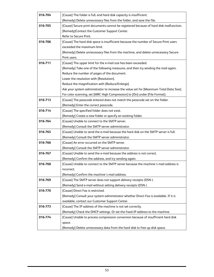| 016-704 | [Cause] The folder is full, and hard disk capacity is insufficient.                    |  |  |  |  |
|---------|----------------------------------------------------------------------------------------|--|--|--|--|
|         | [Remedy] Delete unnecessary files from the folder, and save the file.                  |  |  |  |  |
| 016-705 | [Cause] Secure print documents cannot be registered because of hard disk malfunction.  |  |  |  |  |
|         | [Remedy]Contact the Customer Support Center.                                           |  |  |  |  |
|         | Refer to Secure Print.                                                                 |  |  |  |  |
| 016-706 | [Cause] The hard disk space is insufficient because the number of Secure Print users   |  |  |  |  |
|         | exceeded the maximum limit.                                                            |  |  |  |  |
|         | [Remedy] Delete unnecessary files from the machine, and delete unnecessary Secure      |  |  |  |  |
|         | Print users.                                                                           |  |  |  |  |
| 016-711 | [Cause] The upper limit for the e-mail size has been exceeded.                         |  |  |  |  |
|         | [Remedy] Take one of the following measures, and then try sending the mail again.      |  |  |  |  |
|         | Reduce the number of pages of the document.                                            |  |  |  |  |
|         | Lower the resolution with [Resolution].                                                |  |  |  |  |
|         | Reduce the magnification with [Reduce/Enlarge].                                        |  |  |  |  |
|         | Ask your system administrator to increase the value set for [Maximum Total Data Size]. |  |  |  |  |
|         | For color scanning, set [MRC High Compression] to [On] under [File Format].            |  |  |  |  |
| 016-713 | [Cause] The passcode entered does not match the passcode set on the folder.            |  |  |  |  |
|         | [Remedy] Enter the correct passcode.                                                   |  |  |  |  |
| 016-714 | [Cause] The specified folder does not exist.                                           |  |  |  |  |
|         | [Remedy] Create a new folder or specify an existing folder.                            |  |  |  |  |
| 016-764 | [Cause] Unable to connect to the SMTP server.                                          |  |  |  |  |
|         | [Remedy] Consult the SMTP server administrator.                                        |  |  |  |  |
| 016-765 | [Cause] Unable to send the e-mail because the hard disk on the SMTP server is full.    |  |  |  |  |
|         | [Remedy] Consult the SMTP server administrator.                                        |  |  |  |  |
| 016-766 | [Cause] An error occurred on the SMTP server.                                          |  |  |  |  |
|         | [Remedy] Consult the SMTP server administrator.                                        |  |  |  |  |
| 016-767 | [Cause] Unable to send the e-mail because the address is not correct.                  |  |  |  |  |
|         | [Remedy] Confirm the address, and try sending again.                                   |  |  |  |  |
| 016-768 | [Cause] Unable to connect to the SMTP server because the machine's mail address is     |  |  |  |  |
|         | incorrect.                                                                             |  |  |  |  |
|         | [Remedy] Confirm the machine's mail address.                                           |  |  |  |  |
| 016-769 | [Cause] The SMTP server does not support delivery receipts (DSN).                      |  |  |  |  |
|         | [Remedy] Send e-mail without setting delivery receipts (DSN).                          |  |  |  |  |
| 016-770 | [Cause] Direct Fax is restricted.                                                      |  |  |  |  |
|         | [Remedy] Consult your system administrator whether Direct Fax is available. If it is   |  |  |  |  |
|         | available, contact our Customer Support Center.                                        |  |  |  |  |
| 016-773 | [Cause] The IP address of the machine is not set correctly.                            |  |  |  |  |
|         | [Remedy] Check the DHCP settings. Or set the fixed IP address to the machine.          |  |  |  |  |
| 016-774 | [Cause] Unable to process compression conversion because of insufficient hard disk     |  |  |  |  |
|         | space.                                                                                 |  |  |  |  |
|         | [Remedy] Delete unnecessary data from the hard disk to free up disk space.             |  |  |  |  |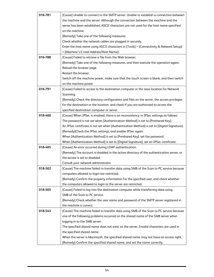| 016-781 | [Cause] Unable to connect to the SMTP server. Unable to establish a connection between      |  |  |  |  |  |
|---------|---------------------------------------------------------------------------------------------|--|--|--|--|--|
|         | the machine and the server. Although the connection between the machine and the             |  |  |  |  |  |
|         | server has been established, ASCII characters are not used for the host name specified      |  |  |  |  |  |
|         | on the machine.                                                                             |  |  |  |  |  |
|         | [Remedy] Take one of the following measures:                                                |  |  |  |  |  |
|         | Check whether the network cables are plugged in securely.                                   |  |  |  |  |  |
|         | Enter the host name using ASCII characters in [Tools] > [Connectivity & Network Setup]      |  |  |  |  |  |
|         | > [Machine's E-mail Address/Host Name].                                                     |  |  |  |  |  |
| 016-788 | [Cause] Failed to retrieve a file from the Web browser.                                     |  |  |  |  |  |
|         | [Remedy] Take one of the following measures, and then execute the operation again:          |  |  |  |  |  |
|         | Reload the browser page.                                                                    |  |  |  |  |  |
|         | Restart the browser.                                                                        |  |  |  |  |  |
|         | Switch off the machine power, make sure that the touch screen is blank, and then switch     |  |  |  |  |  |
|         | on the machine power.                                                                       |  |  |  |  |  |
| 016-791 | [Cause] Failed to access to the destination computer or the save location for Network       |  |  |  |  |  |
|         | Scanning.                                                                                   |  |  |  |  |  |
|         | [Remedy] Check the directory configuration and files on the server, the access privileges   |  |  |  |  |  |
|         | for the destination or the location, and check if you are authorized to access the          |  |  |  |  |  |
|         | specified destination computer or server.                                                   |  |  |  |  |  |
| 018-400 | [Cause] When IPSec is enabled, there is an inconsistency in IPSec settings as follows:      |  |  |  |  |  |
|         | The password is not set when [Authentication Method] is set to [Preshared Key].             |  |  |  |  |  |
|         | An IPSec certificate is not set when [Authentication Method] is set to [Digital Signature]. |  |  |  |  |  |
|         | [Remedy]Check the IPSec settings, and enable IPSec again:                                   |  |  |  |  |  |
|         | When [Authentication Method] is set to [Preshared Key], set the password.                   |  |  |  |  |  |
|         | When [Authentication Method] is set to [Digital Signature], set an IPSec certificate.       |  |  |  |  |  |
| 018-405 | [Cause] An error occurred during LDAP authentication.                                       |  |  |  |  |  |
|         | [Remedy] The account is disabled in the active directory of the authentication server, or   |  |  |  |  |  |
|         | the access is set to disabled.                                                              |  |  |  |  |  |
|         | Consult your network administrator.                                                         |  |  |  |  |  |
| 018-502 | [Cause] The machine failed to transfer data using SMB of the Scan to PC service because     |  |  |  |  |  |
|         | computers allowed to login are restricted.                                                  |  |  |  |  |  |
|         | [Remedy] Confirm the property information for the specified user, and check whether         |  |  |  |  |  |
|         | the computers allowed to login to the server are restricted.                                |  |  |  |  |  |
| 018-505 | [Cause] Failed to log into the destination computer while transferring data using           |  |  |  |  |  |
|         | SMB of the Scan to PC service.                                                              |  |  |  |  |  |
|         | [Remedy] Check whether the user name and password of the SMTP server registered in          |  |  |  |  |  |
|         | the machine is correct.                                                                     |  |  |  |  |  |
| 018-543 | [Cause] The machine failed to transfer data using SMB of the Scan to PC service because     |  |  |  |  |  |
|         | one of the following problems occurred on the shared name of the SMB server when            |  |  |  |  |  |
|         | logging in to the SMB server:                                                               |  |  |  |  |  |
|         | The specified shared name does not exist on the server. Invalid characters are used in      |  |  |  |  |  |
|         | the specified shared name.                                                                  |  |  |  |  |  |
|         | When the server is Macintosh, the specified shared name may not have an access right.       |  |  |  |  |  |
|         | [Remedy] Confirm the specified shared name, and set the name correctly.                     |  |  |  |  |  |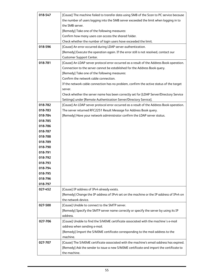| 018-547 |                                                                                                                                                                                  |  |  |  |  |  |
|---------|----------------------------------------------------------------------------------------------------------------------------------------------------------------------------------|--|--|--|--|--|
|         | [Cause] The machine failed to transfer data using SMB of the Scan to PC service because<br>the number of users logging into the SMB server exceeded the limit when logging in to |  |  |  |  |  |
|         | the SMB server.                                                                                                                                                                  |  |  |  |  |  |
|         | [Remedy] Take one of the following measures:                                                                                                                                     |  |  |  |  |  |
|         | Confirm how many users can access the shared folder.                                                                                                                             |  |  |  |  |  |
|         | Check whether the number of login users have exceeded the limit.                                                                                                                 |  |  |  |  |  |
| 018-596 | [Cause] An error occurred during LDAP server authentication.                                                                                                                     |  |  |  |  |  |
|         | [Remedy] Execute the operation again. If the error still is not resolved, contact our                                                                                            |  |  |  |  |  |
|         | Customer Support Center.                                                                                                                                                         |  |  |  |  |  |
| 018-781 | [Cause] An LDAP server protocol error occurred as a result of the Address Book operation.                                                                                        |  |  |  |  |  |
|         | Connection to the server cannot be established for the Address Book query.                                                                                                       |  |  |  |  |  |
|         | [Remedy] Take one of the following measures:                                                                                                                                     |  |  |  |  |  |
|         | Confirm the network cable connection.                                                                                                                                            |  |  |  |  |  |
|         | If the network cable connection has no problem, confirm the active status of the target                                                                                          |  |  |  |  |  |
|         | server.                                                                                                                                                                          |  |  |  |  |  |
|         | Check whether the server name has been correctly set for [LDAP Server/Directory Service                                                                                          |  |  |  |  |  |
|         | Settings] under [Remote Authentication Server/Directory Service].                                                                                                                |  |  |  |  |  |
| 018-782 | [Cause] An LDAP server protocol error occurred as a result of the Address Book operation.                                                                                        |  |  |  |  |  |
| 018-783 | The server returned RFC2251 Result Message for Address Book query.                                                                                                               |  |  |  |  |  |
| 018-784 | [Remedy] Have your network administrator confirm the LDAP server status.                                                                                                         |  |  |  |  |  |
| 018-785 |                                                                                                                                                                                  |  |  |  |  |  |
| 018-786 |                                                                                                                                                                                  |  |  |  |  |  |
| 018-787 |                                                                                                                                                                                  |  |  |  |  |  |
| 018-788 |                                                                                                                                                                                  |  |  |  |  |  |
| 018-789 |                                                                                                                                                                                  |  |  |  |  |  |
| 018-790 |                                                                                                                                                                                  |  |  |  |  |  |
| 018-791 |                                                                                                                                                                                  |  |  |  |  |  |
| 018-792 |                                                                                                                                                                                  |  |  |  |  |  |
| 018-793 |                                                                                                                                                                                  |  |  |  |  |  |
| 018-794 |                                                                                                                                                                                  |  |  |  |  |  |
| 018-795 |                                                                                                                                                                                  |  |  |  |  |  |
| 018-796 |                                                                                                                                                                                  |  |  |  |  |  |
| 018-797 |                                                                                                                                                                                  |  |  |  |  |  |
| 027-452 | [Cause] IP address of IPv4 already exists.                                                                                                                                       |  |  |  |  |  |
|         | [Remedy] Change the IP address of IPv4 set on the machine or the IP address of IPv4 on                                                                                           |  |  |  |  |  |
|         | the network device.                                                                                                                                                              |  |  |  |  |  |
| 027-500 | [Cause] Unable to connect to the SMTP server.                                                                                                                                    |  |  |  |  |  |
|         | [Remedy] Specify the SMTP server name correctly or specify the server by using its IP                                                                                            |  |  |  |  |  |
|         | address.                                                                                                                                                                         |  |  |  |  |  |
| 027-706 | [Cause] Unable to find the S/MIME certificate associated with the machine's e-mail                                                                                               |  |  |  |  |  |
|         | address when sending e-mail.                                                                                                                                                     |  |  |  |  |  |
|         | [Remedy] Import the S/MIME certificate corresponding to the mail address to the                                                                                                  |  |  |  |  |  |
|         | machine.                                                                                                                                                                         |  |  |  |  |  |
| 027-707 | [Cause] The S/MIME certificate associated with the machine's email address has expired.                                                                                          |  |  |  |  |  |
|         | [Remedy] Ask the sender to issue a new S/MIME certificate and import the certificate to                                                                                          |  |  |  |  |  |
|         | the machine.                                                                                                                                                                     |  |  |  |  |  |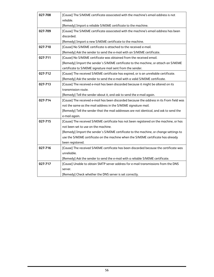| 027-708 | [Cause] The S/MIME certificate associated with the machine's email address is not<br>reliable.<br>[Remedy] Import a reliable S/MIME certificate to the machine. |
|---------|-----------------------------------------------------------------------------------------------------------------------------------------------------------------|
| 027-709 | [Cause] The S/MIME certificate associated with the machine's email address has been<br>discarded.                                                               |
|         | [Remedy] Import a new S/MIME certificate to the machine.                                                                                                        |
| 027-710 | [Cause] No S/MIME certificate is attached to the received e-mail.                                                                                               |
|         | [Remedy] Ask the sender to send the e-mail with an S/MIME certificate.                                                                                          |
| 027-711 | [Cause] No S/MIME certificate was obtained from the received email.                                                                                             |
|         | [Remedy] Import the sender's S/MIME certificate to the machine, or attach an S/MIME                                                                             |
|         | certificate to S/MIME signature mail sent from the sender.                                                                                                      |
| 027-712 | [Cause] The received S/MIME certificate has expired, or is an unreliable certificate.                                                                           |
|         | [Remedy] Ask the sender to send the e-mail with a valid S/MIME certificate.                                                                                     |
| 027-713 | [Cause] The received e-mail has been discarded because it might be altered on its                                                                               |
|         | transmission route.                                                                                                                                             |
|         | [Remedy] Tell the sender about it, and ask to send the e-mail again.                                                                                            |
| 027-714 | [Cause] The received e-mail has been discarded because the address in its From field was                                                                        |
|         | not the same as the mail address in the S/MIME signature mail.                                                                                                  |
|         | [Remedy] Tell the sender that the mail addresses are not identical, and ask to send the                                                                         |
|         | e-mail again.                                                                                                                                                   |
| 027-715 | [Cause] The received S/MIME certificate has not been registered on the machine, or has<br>not been set to use on the machine.                                   |
|         | [Remedy] Import the sender's S/MIME certificate to the machine, or change settings to                                                                           |
|         | use the S/MIME certificate on the machine when the S/MIME certificate has already                                                                               |
|         | been registered.                                                                                                                                                |
| 027-716 | [Cause] The received S/MIME certificate has been discarded because the certificate was                                                                          |
|         | unreliable.                                                                                                                                                     |
|         | [Remedy] Ask the sender to send the e-mail with a reliable S/MIME certificate.                                                                                  |
| 027-717 | [Cause] Unable to obtain SMTP server address for e-mail transmissions from the DNS                                                                              |
|         | server.                                                                                                                                                         |
|         | [Remedy] Check whether the DNS server is set correctly.                                                                                                         |
|         |                                                                                                                                                                 |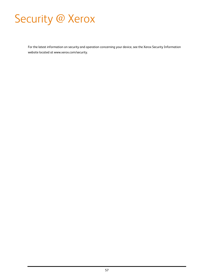# Security @ Xerox

For the latest information on security and operation concerning your device, see the Xerox Security Information website located at www.xerox.com/security.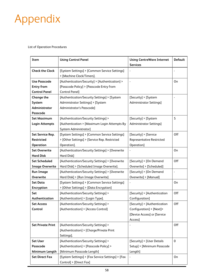# Appendix

List of Operation Procedures

| Item                     | <b>Using Control Panel</b>                        | <b>Using CentreWare Internet</b> | <b>Default</b> |
|--------------------------|---------------------------------------------------|----------------------------------|----------------|
|                          |                                                   | <b>Services</b>                  |                |
| <b>Check the Clock</b>   | [System Settings] > [Common Service Settings]     |                                  |                |
|                          | > [Machine Clock/Timers].                         |                                  |                |
| Use Passcode             | [Authentication/Security] > [Authentication] >    |                                  | 0n             |
| <b>Entry from</b>        | [Passcode Policy] > [Passcode Entry from          |                                  |                |
| <b>Control Panel</b>     | <b>Control Panel]</b>                             |                                  |                |
| <b>Change the</b>        | [Authentication/Security Settings] > [System      | [Security] > [System             |                |
| System                   | Administrator Settings] > [System                 | <b>Administrator Settings]</b>   |                |
| Administrator            | Administrator's Passcode]                         |                                  |                |
| Passcode                 |                                                   |                                  |                |
| <b>Set Maximum</b>       | [Authentication/Security Settings] >              | [Security] > [System             | 5              |
| Login Attempts           | [Authentication > [Maximum Login Attempts By      | <b>Administrator Settings]</b>   |                |
|                          | System Administrator]                             |                                  |                |
| Set Service Rep.         | [System Settings] > [Common Service Settings]     | [Security] > [Service            | Off            |
| <b>Restricted</b>        | > [Other Settings] > [Service Rep. Restricted     | <b>Representative Restricted</b> |                |
| Operation                | Operation].                                       | Operation]                       |                |
| <b>Set Overwrite</b>     | [Authentication/Security Settings] > [Overwrite   |                                  | On             |
| <b>Hard Disk</b>         | Hard Disk]                                        |                                  |                |
| <b>Set Scheduled</b>     | [Authentication/Security Settings] > [Overwrite   | [Security] > [On Demand          | Off            |
| <b>Image Overwrite</b>   | Hard Disk] > [Scheduled Image Overwrite].         | Overwrite] > [Scheduled]         |                |
| <b>Run Image</b>         | [Authentication/Security Settings] > [Overwrite   | [Security] > [On Demand          | ٠              |
| Overwrite                | Hard Disk] > [Run Image Overwrite]                | Overwrite] > [Manual]            |                |
| <b>Set Data</b>          | [System Settings] > [Common Service Settings]     |                                  | On             |
| Encryption               | > [Other Settings] > [Data Encryption]            |                                  |                |
| Set                      | [Authentication/Security Settings] >              | [Security] > [Authentication     | Off            |
| Authentication           | [Authentication] > [Login Type].                  | Configuration]                   |                |
| <b>Set Access</b>        | [Authentication/Security Settings] >              | [Security] > [Authentication     | Off            |
| Control                  | [Authentication] > [Access Control]               | Configuration] > [Next]>         |                |
|                          |                                                   | [Device Access] or [Service      |                |
|                          |                                                   | Access]                          |                |
| <b>Set Private Print</b> | [Authentication/Security Settings] >              |                                  | Off            |
|                          | [Authentication] > [Charge/Private Print          |                                  |                |
|                          | Settings].                                        |                                  |                |
| <b>Set User</b>          | [Authentication/Security Settings] >              | [Security] > [User Details       | $\mathbf 0$    |
| Passcode                 | [Authentication] > [Passcode Policy] >            | Setup] > [Minimum Passcode       |                |
| Minimum Length           | [Minimum Passcode Length]                         | Length]                          |                |
| <b>Set Direct Fax</b>    | [System Settings] > [Fax Service Settings] > [Fax |                                  | <b>On</b>      |
|                          | Control] > [Direct Fax]                           |                                  |                |